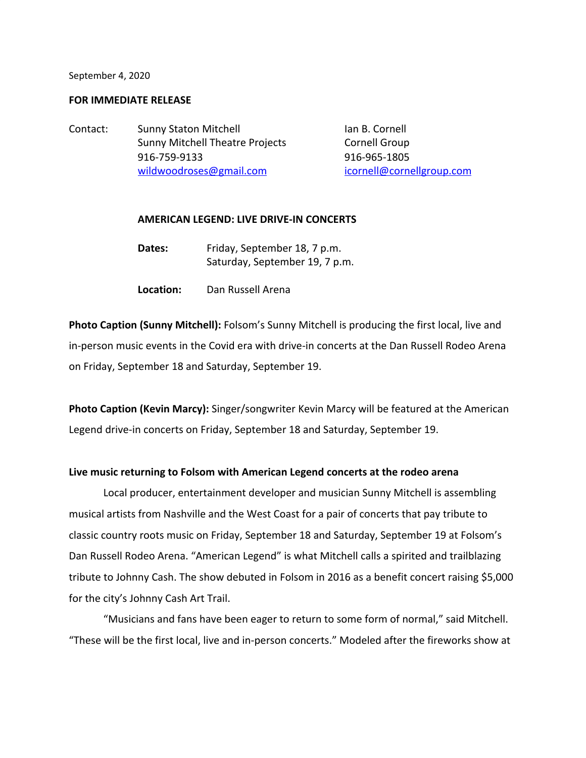September 4, 2020

## **FOR IMMEDIATE RELEASE**

| Contact: | <b>Sunny Staton Mitchell</b>           | lan B. Cornell            |
|----------|----------------------------------------|---------------------------|
|          | <b>Sunny Mitchell Theatre Projects</b> | Cornell Group             |
|          | 916-759-9133                           | 916-965-1805              |
|          | wildwoodroses@gmail.com                | icornell@cornellgroup.com |

## **AMERICAN LEGEND: LIVE DRIVE-IN CONCERTS**

| Dates: | Friday, September 18, 7 p.m.   |
|--------|--------------------------------|
|        | Saturday, September 19, 7 p.m. |
|        |                                |

**Location:** Dan Russell Arena

**Photo Caption (Sunny Mitchell):** Folsom's Sunny Mitchell is producing the first local, live and in-person music events in the Covid era with drive-in concerts at the Dan Russell Rodeo Arena on Friday, September 18 and Saturday, September 19.

**Photo Caption (Kevin Marcy):** Singer/songwriter Kevin Marcy will be featured at the American Legend drive-in concerts on Friday, September 18 and Saturday, September 19.

## **Live music returning to Folsom with American Legend concerts at the rodeo arena**

Local producer, entertainment developer and musician Sunny Mitchell is assembling musical artists from Nashville and the West Coast for a pair of concerts that pay tribute to classic country roots music on Friday, September 18 and Saturday, September 19 at Folsom's Dan Russell Rodeo Arena. "American Legend" is what Mitchell calls a spirited and trailblazing tribute to Johnny Cash. The show debuted in Folsom in 2016 as a benefit concert raising \$5,000 for the city's Johnny Cash Art Trail.

"Musicians and fans have been eager to return to some form of normal," said Mitchell. "These will be the first local, live and in-person concerts." Modeled after the fireworks show at